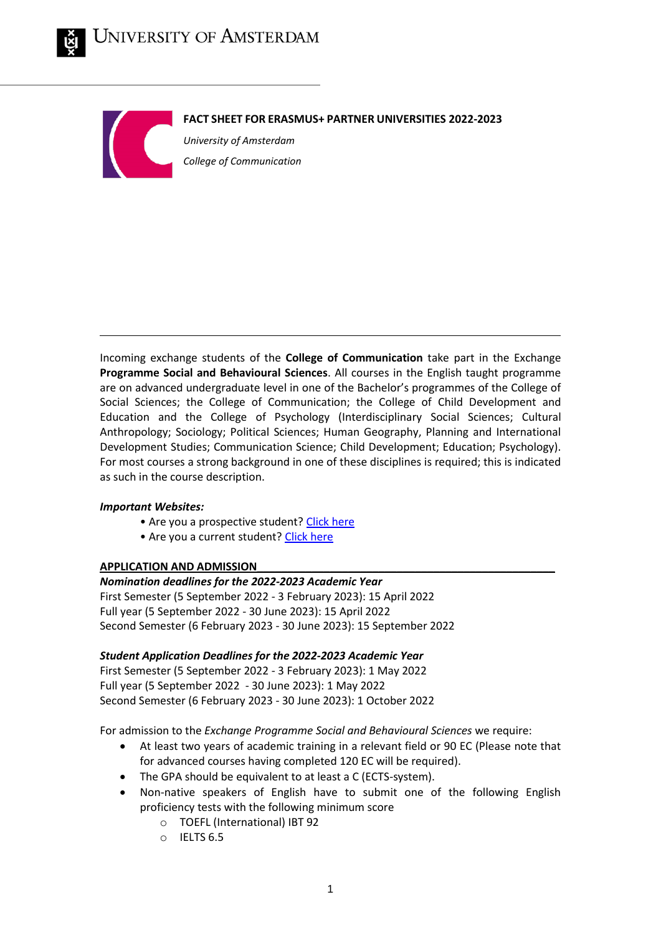



**FACT SHEET FOR ERASMUS+ PARTNER UNIVERSITIES 2022-2023**

*University of Amsterdam College of Communication* 

Incoming exchange students of the **College of Communication** take part in the Exchange **Programme Social and Behavioural Sciences**. All courses in the English taught programme are on advanced undergraduate level in one of the Bachelor's programmes of the College of Social Sciences; the College of Communication; the College of Child Development and Education and the College of Psychology (Interdisciplinary Social Sciences; Cultural Anthropology; Sociology; Political Sciences; Human Geography, Planning and International Development Studies; Communication Science; Child Development; Education; Psychology). For most courses a strong background in one of these disciplines is required; this is indicated as such in the course description.

# *Important Websites:*

- Are you a prospective student? [Click here](http://www.uva.nl/exchange-communicationscience)
- Are you a current student[? Click here](https://student.uva.nl/ess)

# **APPLICATION AND ADMISSION\_\_\_\_\_\_\_\_\_\_\_\_\_\_\_\_\_\_\_\_\_\_\_\_\_\_\_\_\_\_\_\_\_\_\_\_\_\_\_\_\_\_\_\_\_\_\_\_\_**

#### *Nomination deadlines for the 2022‐2023 Academic Year*

First Semester (5 September 2022 ‐ 3 February 2023): 15 April 2022 Full year (5 September 2022 ‐ 30 June 2023): 15 April 2022 Second Semester (6 February 2023 ‐ 30 June 2023): 15 September 2022

# *Student Application Deadlines for the 2022‐2023 Academic Year*

First Semester (5 September 2022 ‐ 3 February 2023): 1 May 2022 Full year (5 September 2022 ‐ 30 June 2023): 1 May 2022 Second Semester (6 February 2023 ‐ 30 June 2023): 1 October 2022

For admission to the *Exchange Programme Social and Behavioural Sciences* we require:

- At least two years of academic training in a relevant field or 90 EC (Please note that for advanced courses having completed 120 EC will be required).
- The GPA should be equivalent to at least a C (ECTS-system).
- Non-native speakers of English have to submit one of the following English proficiency tests with the following minimum score
	- o TOEFL (International) IBT 92
	- o IELTS 6.5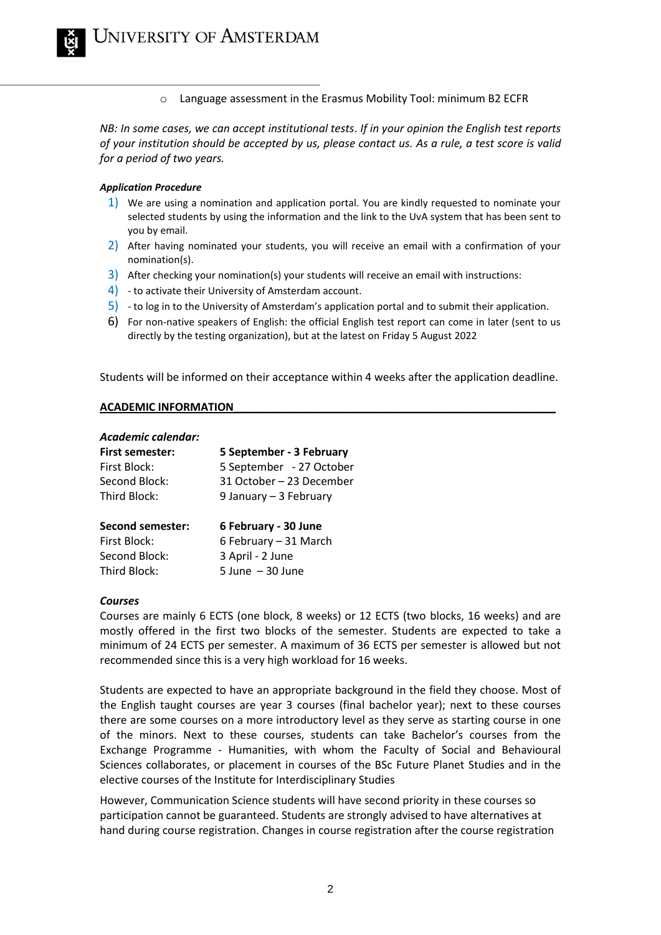o Language assessment in the Erasmus Mobility Tool: minimum B2 ECFR

*NB: In some cases, we can accept institutional tests*. *If in your opinion the English test reports of your institution should be accepted by us, please contact us. As a rule, a test score is valid for a period of two years.*

#### *Application Procedure*

- 1) We are using a nomination and application portal. You are kindly requested to nominate your selected students by using the information and the link to the UvA system that has been sent to you by email.
- 2) After having nominated your students, you will receive an email with a confirmation of your nomination(s).
- 3) After checking your nomination(s) your students will receive an email with instructions:
- 4) to activate their University of Amsterdam account.
- 5) to log in to the University of Amsterdam's application portal and to submit their application.
- 6) For non-native speakers of English: the official English test report can come in later (sent to us directly by the testing organization), but at the latest on Friday 5 August 2022

Students will be informed on their acceptance within 4 weeks after the application deadline.

#### **ACADEMIC INFORMATION\_\_\_\_\_\_\_\_\_\_\_\_\_\_\_\_\_\_\_\_\_\_\_\_\_\_\_\_\_\_\_\_\_\_\_\_\_\_\_\_\_\_\_\_\_\_\_\_\_\_\_\_\_**

| Academic calendar:<br><b>First semester:</b><br>First Block:<br>Second Block:<br>Third Block: | 5 September - 3 February<br>5 September - 27 October<br>31 October – 23 December<br>9 January – 3 February |
|-----------------------------------------------------------------------------------------------|------------------------------------------------------------------------------------------------------------|
| <b>Second semester:</b>                                                                       | 6 February - 30 June                                                                                       |
| First Block:                                                                                  | 6 February - 31 March                                                                                      |
| Second Block:                                                                                 | 3 April - 2 June                                                                                           |
| Third Block:                                                                                  | $5$ June $-30$ June                                                                                        |

#### *Courses*

Courses are mainly 6 ECTS (one block, 8 weeks) or 12 ECTS (two blocks, 16 weeks) and are mostly offered in the first two blocks of the semester. Students are expected to take a minimum of 24 ECTS per semester. A maximum of 36 ECTS per semester is allowed but not recommended since this is a very high workload for 16 weeks.

Students are expected to have an appropriate background in the field they choose. Most of the English taught courses are year 3 courses (final bachelor year); next to these courses there are some courses on a more introductory level as they serve as starting course in one of the minors. Next to these courses, students can take Bachelor's courses from the Exchange Programme - Humanities, with whom the Faculty of Social and Behavioural Sciences collaborates, or placement in courses of the BSc Future Planet Studies and in the elective courses of the Institute for Interdisciplinary Studies

However, Communication Science students will have second priority in these courses so participation cannot be guaranteed. Students are strongly advised to have alternatives at hand during course registration. Changes in course registration after the course registration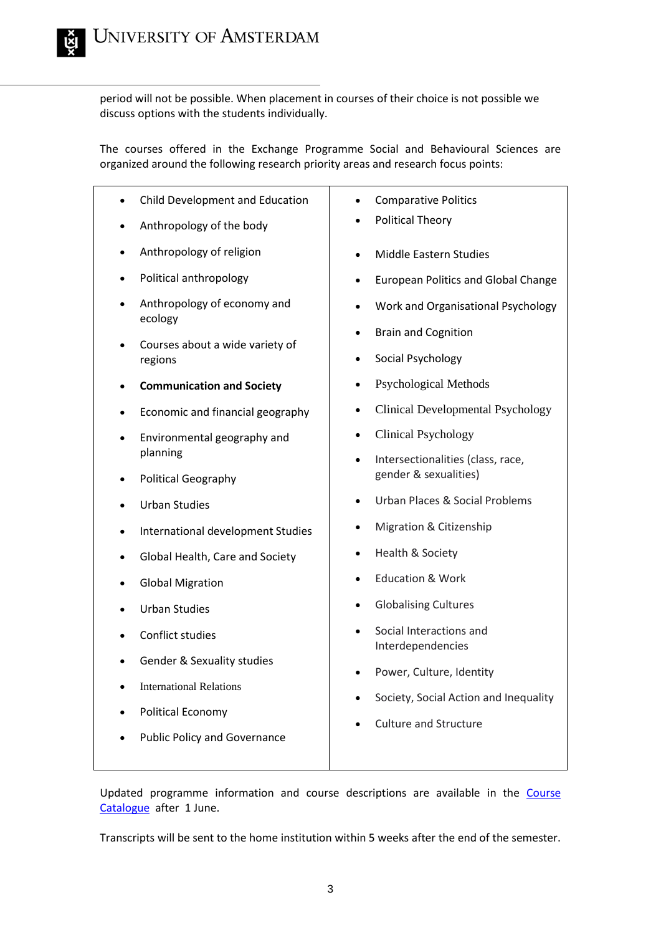period will not be possible. When placement in courses of their choice is not possible we discuss options with the students individually.

The courses offered in the Exchange Programme Social and Behavioural Sciences are organized around the following research priority areas and research focus points:

| Child Development and Education            | <b>Comparative Politics</b>                           |
|--------------------------------------------|-------------------------------------------------------|
| Anthropology of the body                   | <b>Political Theory</b>                               |
| Anthropology of religion                   | Middle Eastern Studies                                |
| Political anthropology                     | <b>European Politics and Global Change</b>            |
| Anthropology of economy and<br>ecology     | Work and Organisational Psychology<br>$\bullet$       |
| Courses about a wide variety of<br>regions | <b>Brain and Cognition</b><br>$\bullet$               |
|                                            | Social Psychology                                     |
| <b>Communication and Society</b>           | <b>Psychological Methods</b>                          |
| Economic and financial geography           | <b>Clinical Developmental Psychology</b><br>$\bullet$ |
| Environmental geography and                | <b>Clinical Psychology</b>                            |
| planning                                   | Intersectionalities (class, race,<br>$\bullet$        |
| <b>Political Geography</b>                 | gender & sexualities)                                 |
| <b>Urban Studies</b>                       | Urban Places & Social Problems<br>$\bullet$           |
| International development Studies          | Migration & Citizenship<br>$\bullet$                  |
| Global Health, Care and Society            | Health & Society                                      |
| <b>Global Migration</b>                    | <b>Education &amp; Work</b><br>$\bullet$              |
| <b>Urban Studies</b>                       | <b>Globalising Cultures</b><br>$\bullet$              |
| Conflict studies                           | Social Interactions and<br>Interdependencies          |
| Gender & Sexuality studies                 | Power, Culture, Identity                              |
| <b>International Relations</b>             | Society, Social Action and Inequality                 |
| <b>Political Economy</b>                   |                                                       |
| <b>Public Policy and Governance</b>        | <b>Culture and Structure</b>                          |

Updated programme information and course descriptions are available in the [Course](https://studiegids.uva.nl/xmlpages/page/2021-2022-en)  [Catalogue](https://studiegids.uva.nl/xmlpages/page/2021-2022-en) after 1 June.

Transcripts will be sent to the home institution within 5 weeks after the end of the semester.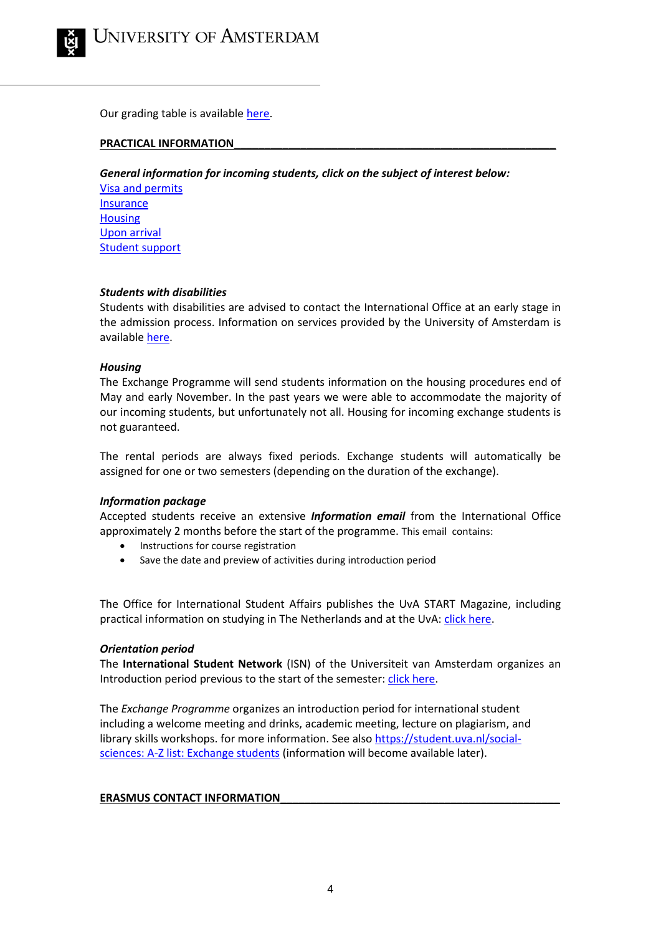

Our grading table is available [here.](https://student.uva.nl/social-sciences/shared/studentensites/uva-studentensite/en/az/grading-scheme/grading-scheme.html?origin=0%2FM%2FoWdMTqaHobxPJwaDzg)

#### PRACTICAL **INFORMATION**

*General information for incoming students, click on the subject of interest below:*

[Visa and permits](https://www.uva.nl/en/education/other-programmes/exchange/practical-matters/visas-and-permits/visas-and-permits.html) **[Insurance](https://www.uva.nl/en/education/other-programmes/exchange/practical-matters/insurance/insurance.html) [Housing](https://www.uva.nl/en/education/other-programmes/exchange/practical-matters/housing/housing.html)** [Upon arrival](https://www.uva.nl/en/education/other-programmes/exchange/practical-matters/upon-arrival/upon-arrival.html) [Student support](https://www.uva.nl/en/education/other-programmes/exchange/practical-matters/student-support/student-support.html)

#### *Students with disabilities*

Students with disabilities are advised to contact the International Office at an early stage in the admission process. Information on services provided by the University of Amsterdam is available [here.](https://student.uva.nl/en/content/az/disability/disability.html)

## *Housing*

The Exchange Programme will send students information on the housing procedures end of May and early November. In the past years we were able to accommodate the majority of our incoming students, but unfortunately not all. Housing for incoming exchange students is not guaranteed.

The rental periods are always fixed periods. Exchange students will automatically be assigned for one or two semesters (depending on the duration of the exchange).

#### *Information package*

Accepted students receive an extensive *Information email* from the International Office approximately 2 months before the start of the programme. This email contains:

- Instructions for course registration
- Save the date and preview of activities during introduction period

The Office for International Student Affairs publishes the UvA START Magazine, including practical information on studying in The Netherlands and at the UvA: [click here.](https://student.uva.nl/en/content/az/start-magazine/start-magazine.html)

#### *Orientation period*

The **International Student Network** (ISN) of the Universiteit van Amsterdam organizes an Introduction period previous to the start of the semester: *click here*.

The *Exchange Programme* organizes an introduction period for international student including a welcome meeting and drinks, academic meeting, lecture on plagiarism, and library skills workshops. for more information. See also [https://student.uva.nl/social](https://student.uva.nl/social-sciences)[sciences:](https://student.uva.nl/social-sciences) A-Z list: Exchange students (information will become available later).

#### **ERASMUS CONTACT INFORMATION**